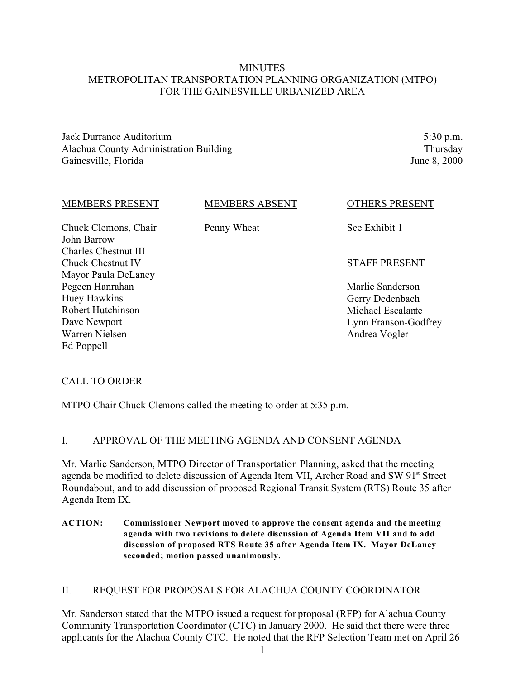# **MINUTES** METROPOLITAN TRANSPORTATION PLANNING ORGANIZATION (MTPO) FOR THE GAINESVILLE URBANIZED AREA

Jack Durrance Auditorium Alachua County Administration Building Gainesville, Florida

5:30 p.m. Thursday June 8, 2000

| <b>MEMBERS PRESENT</b>                                           | <b>MEMBERS ABSENT</b> | <b>OTHERS PRESENT</b> |
|------------------------------------------------------------------|-----------------------|-----------------------|
| Chuck Clemons, Chair<br>John Barrow                              | Penny Wheat           | See Exhibit 1         |
| Charles Chestnut III<br>Chuck Chestnut IV<br>Mayor Paula DeLaney |                       | <b>STAFF PRESENT</b>  |
| Pegeen Hanrahan                                                  |                       | Marlie Sanderson      |
| Huey Hawkins                                                     |                       | Gerry Dedenbach       |
| Robert Hutchinson                                                |                       | Michael Escalante     |
| Dave Newport                                                     |                       | Lynn Franson-Godfrey  |
| Warren Nielsen                                                   |                       | Andrea Vogler         |
| Ed Poppell                                                       |                       |                       |
|                                                                  |                       |                       |

# CALL TO ORDER

MTPO Chair Chuck Clemons called the meeting to order at 5:35 p.m.

# I. APPROVAL OF THE MEETING AGENDA AND CONSENT AGENDA

Mr. Marlie Sanderson, MTPO Director of Transportation Planning, asked that the meeting agenda be modified to delete discussion of Agenda Item VII, Archer Road and SW 91<sup>st</sup> Street Roundabout, and to add discussion of proposed Regional Transit System (RTS) Route 35 after Agenda Item IX.

**ACTION: Commissioner Newport moved to approve the consent agenda and the meeting agenda with two revisions to delete discussion of Agenda Item VII and to add discussion of proposed RTS Route 35 after Agenda Item IX. Mayor DeLaney seconded; motion passed unanimously.**

### II. REQUEST FOR PROPOSALS FOR ALACHUA COUNTY COORDINATOR

Mr. Sanderson stated that the MTPO issued a request for proposal (RFP) for Alachua County Community Transportation Coordinator (CTC) in January 2000. He said that there were three applicants for the Alachua County CTC. He noted that the RFP Selection Team met on April 26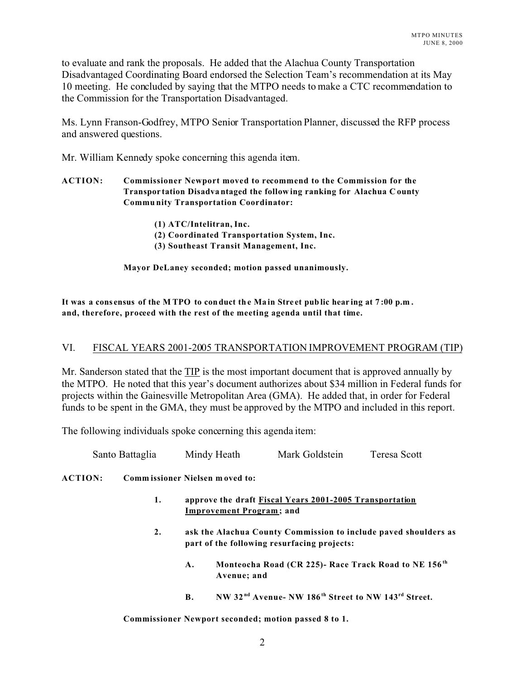to evaluate and rank the proposals. He added that the Alachua County Transportation Disadvantaged Coordinating Board endorsed the Selection Team's recommendation at its May 10 meeting. He concluded by saying that the MTPO needs to make a CTC recommendation to the Commission for the Transportation Disadvantaged.

Ms. Lynn Franson-Godfrey, MTPO Senior Transportation Planner, discussed the RFP process and answered questions.

Mr. William Kennedy spoke concerning this agenda item.

### **ACTION: Commissioner Newport moved to recommend to the Commission for the Transpor tation Disadva ntaged the follow ing ranking for Alachua C ounty Commu nity Transportation Coordinator:**

- **(1) ATC/Intelitran, Inc.**
- **(2) Coordinated Transportation System, Inc.**
- **(3) Southeast Transit Management, Inc.**

**Mayor DeLaney seconded; motion passed unanimously.**

**It was a cons ensus of the M TPO to conduct th e Ma in Stre et pub lic hear ing at 7 :00 p.m . and, therefore, proceed with the rest of the meeting agenda until that time.**

# VI. FISCAL YEARS 2001-2005 TRANSPORTATION IMPROVEMENT PROGRAM (TIP)

Mr. Sanderson stated that the TIP is the most important document that is approved annually by the MTPO. He noted that this year's document authorizes about \$34 million in Federal funds for projects within the Gainesville Metropolitan Area (GMA). He added that, in order for Federal funds to be spent in the GMA, they must be approved by the MTPO and included in this report.

The following individuals spoke concerning this agenda item:

Santo Battaglia Mindy Heath Mark Goldstein Teresa Scott

**ACTION: Comm issioner Nielsen m oved to:** 

- **1. approve the draft Fiscal Years 2001-2005 Transportation Improvement Program ; and**
- **2. ask the Alachua County Commission to include paved shoulders as part of the following resurfacing projects:**
	- **A. Monteocha Road (CR 225)- Race Track Road to NE 156 th Avenue; and**
	- **B. NW 32 nd Avenue- NW 186th Street to NW 143rd Street.**

**Commissioner Newport seconded; motion passed 8 to 1.**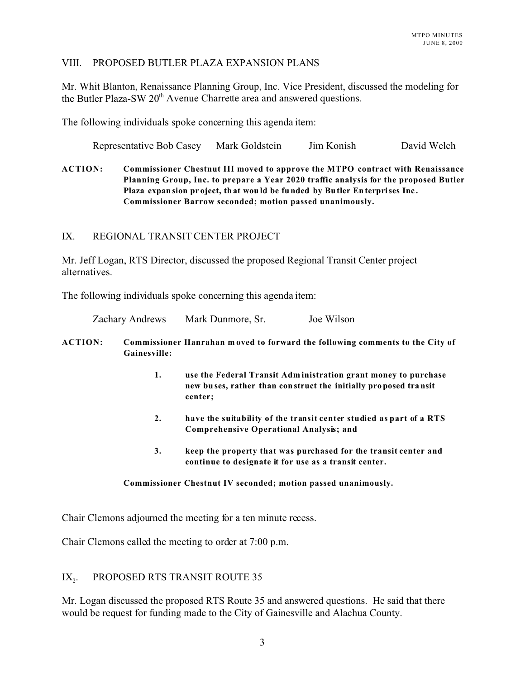### VIII. PROPOSED BUTLER PLAZA EXPANSION PLANS

Mr. Whit Blanton, Renaissance Planning Group, Inc. Vice President, discussed the modeling for the Butler Plaza-SW 20<sup>th</sup> Avenue Charrette area and answered questions.

The following individuals spoke concerning this agenda item:

Representative Bob Casey Mark Goldstein Jim Konish David Welch

**ACTION: Commissioner Chestnut III moved to approve the MTPO contract with Renaissance Planning Group, Inc. to prepare a Year 2020 traffic analysis for the proposed Butler Plaza expan sion pr oject, th at wou ld be fu nded by Bu tler En terprises Inc . Commissioner Barrow seconded; motion passed unanimously.**

### IX. REGIONAL TRANSIT CENTER PROJECT

Mr. Jeff Logan, RTS Director, discussed the proposed Regional Transit Center project alternatives.

The following individuals spoke concerning this agenda item:

| <b>Zachary Andrews</b> | Mark Dunmore, Sr. | Joe Wilson |
|------------------------|-------------------|------------|
|------------------------|-------------------|------------|

### **ACTION: Commissioner Hanrahan m oved to forward the following comments to the City of Gainesville:**

- **1. use the Federal Transit Adm inistration grant money to purchase new bu ses, rather than con struct the initially pro posed tra nsit center;**
- **2. have the suitability of the transit center studied as part of a RTS Comprehensive Operational Analysis; and**
- **3. keep the property that was purchased for the transit center and continue to designate it for use as a transit center.**

### **Commissioner Chestnut IV seconded; motion passed unanimously.**

Chair Clemons adjourned the meeting for a ten minute recess.

Chair Clemons called the meeting to order at 7:00 p.m.

#### $IX_{\cdot}$ . PROPOSED RTS TRANSIT ROUTE 35

Mr. Logan discussed the proposed RTS Route 35 and answered questions. He said that there would be request for funding made to the City of Gainesville and Alachua County.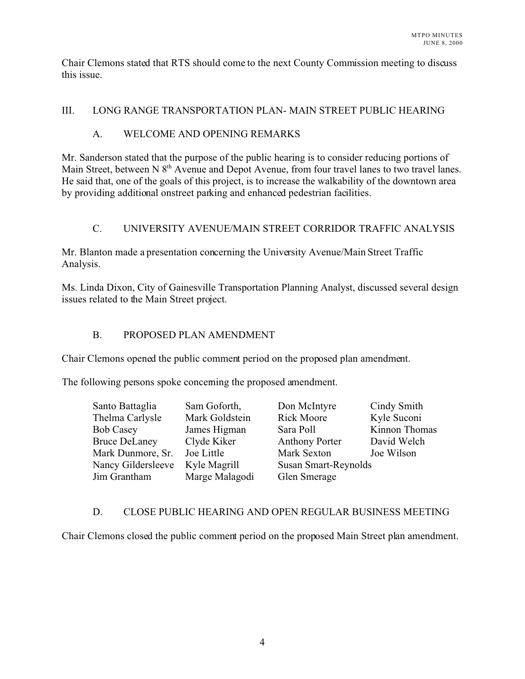Chair Clemons stated that RTS should come to the next County Commission meeting to discuss this issue.

# III. LONG RANGE TRANSPORTATION PLAN- MAIN STREET PUBLIC HEARING

# A. WELCOME AND OPENING REMARKS

Mr. Sanderson stated that the purpose of the public hearing is to consider reducing portions of Main Street, between N 8<sup>th</sup> Avenue and Depot Avenue, from four travel lanes to two travel lanes. He said that, one of the goals of this project, is to increase the walkability of the downtown area by providing additional onstreet parking and enhanced pedestrian facilities.

# C. UNIVERSITY AVENUE/MAIN STREET CORRIDOR TRAFFIC ANALYSIS

Mr. Blanton made a presentation concerning the University Avenue/Main Street Traffic Analysis.

Ms. Linda Dixon, City of Gainesville Transportation Planning Analyst, discussed several design issues related to the Main Street project.

# B. PROPOSED PLAN AMENDMENT

Chair Clemons opened the public comment period on the proposed plan amendment.

The following persons spoke concerning the proposed amendment.

| Santo Battaglia      | Sam Goforth,   | Don McIntyre          | Cindy Smith   |
|----------------------|----------------|-----------------------|---------------|
| Thelma Carlysle      | Mark Goldstein | <b>Rick Moore</b>     | Kyle Suconi   |
| <b>Bob Casey</b>     | James Higman   | Sara Poll             | Kinnon Thomas |
| <b>Bruce DeLaney</b> | Clyde Kiker    | <b>Anthony Porter</b> | David Welch   |
| Mark Dunmore, Sr.    | Joe Little     | Mark Sexton           | Joe Wilson    |
| Nancy Gildersleeve   | Kyle Magrill   | Susan Smart-Reynolds  |               |
| Jim Grantham         | Marge Malagodi | Glen Smerage          |               |

# D. CLOSE PUBLIC HEARING AND OPEN REGULAR BUSINESS MEETING

Chair Clemons closed the public comment period on the proposed Main Street plan amendment.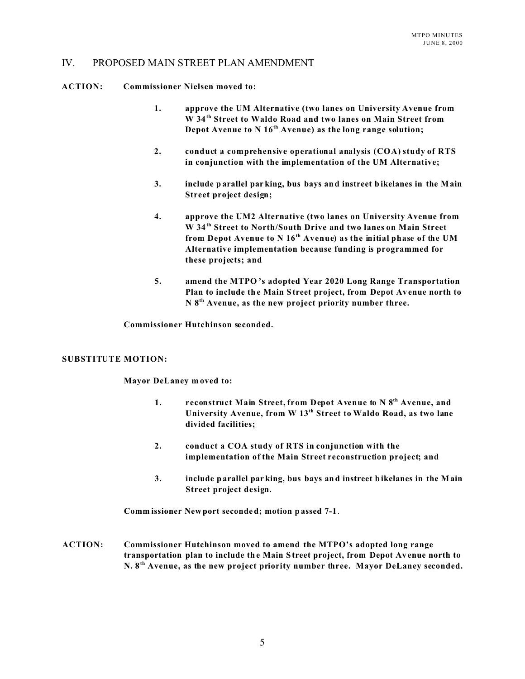### IV. PROPOSED MAIN STREET PLAN AMENDMENT

**ACTION: Commissioner Nielsen moved to:**

- **1. approve the UM Alternative (two lanes on University Avenue from W 34th Street to Waldo Road and two lanes on Main Street from Depot Avenue to N 16th Avenue) as the long range solution;**
- **2. conduct a comprehensive operational analysis (COA) study of RTS in conjunction with the implementation of the UM Alternative;**
- **3. include p arallel par king, bus bays and instreet b ikelanes in the Main Street project design;**
- **4. approve the UM2 Alternative (two lanes on University Avenue from W 34th Street to North/South Drive and two lanes on Main Street from Depot Avenue to N 16th Avenue) as the initial phase of the UM Alternative implementation because funding is programmed for these projects; and**
- **5. amend the MTPO 's adopted Year 2020 Long Range Transportation Plan to include th e Main S treet project, from Depot Av enue north to N 8th Avenue, as the new project priority number three.**

**Commissioner Hutchinson seconded.**

#### **SUBSTITUTE MOTION:**

**Mayor DeLaney m oved to:**

- **1. reconstruct Main Street, from Depot Avenue to N 8th Avenue, and University Avenue, from W 13th Street to Waldo Road, as two lane divided facilities;**
- **2. conduct a COA study of RTS in conjunction with the implementation of the Main Street reconstruction project; and**
- **3. include p arallel par king, bus bays and instreet b ikelanes in the Main Street project design.**

**Comm issioner Newport seconde d; motion p assed 7-1**.

**ACTION: Commissioner Hutchinson moved to amend the MTPO's adopted long range transportation plan to include th e Main S treet project, from Depot Av enue north to N. 8th Avenue, as the new project priority number three. Mayor DeLaney seconded.**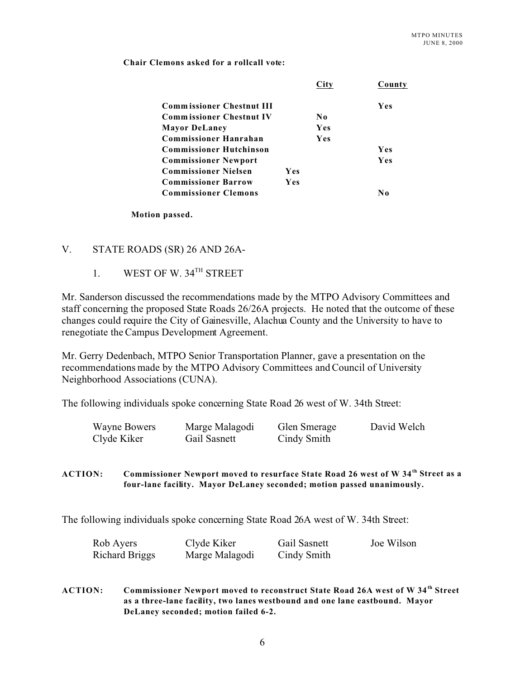**Chair Clemons asked for a rollcall vote:**

|                                  |     |     | County     |
|----------------------------------|-----|-----|------------|
| <b>Commissioner Chestnut III</b> |     |     | Yes        |
| <b>Commissioner Chestnut IV</b>  |     | No  |            |
| <b>Mayor DeLaney</b>             |     | Yes |            |
| <b>Commissioner Hanrahan</b>     |     | Yes |            |
| <b>Commissioner Hutchinson</b>   |     |     | <b>Yes</b> |
| <b>Commissioner Newport</b>      |     |     | <b>Yes</b> |
| <b>Commissioner Nielsen</b>      | Yes |     |            |
| <b>Commissioner Barrow</b>       | Yes |     |            |
| <b>Commissioner Clemons</b>      |     |     | No         |

**Motion passed.**

# V. STATE ROADS (SR) 26 AND 26A-

1. WEST OF W. 34<sup>TH</sup> STREET

Mr. Sanderson discussed the recommendations made by the MTPO Advisory Committees and staff concerning the proposed State Roads 26/26A projects. He noted that the outcome of these changes could require the City of Gainesville, Alachua County and the University to have to renegotiate the Campus Development Agreement.

Mr. Gerry Dedenbach, MTPO Senior Transportation Planner, gave a presentation on the recommendations made by the MTPO Advisory Committees and Council of University Neighborhood Associations (CUNA).

The following individuals spoke concerning State Road 26 west of W. 34th Street:

| <b>Wayne Bowers</b> | Marge Malagodi | Glen Smerage | David Welch |
|---------------------|----------------|--------------|-------------|
| Clyde Kiker         | Gail Sasnett   | Cindy Smith  |             |

**ACTION: Commissioner Newport moved to resurface State Road 26 west of W 34th Street as a four-lane facility. Mayor DeLaney seconded; motion passed unanimously.**

The following individuals spoke concerning State Road 26A west of W. 34th Street:

| Rob Ayers             | Clyde Kiker    | Gail Sasnett | Joe Wilson |
|-----------------------|----------------|--------------|------------|
| <b>Richard Briggs</b> | Marge Malagodi | Cindy Smith  |            |

**ACTION: Commissioner Newport moved to reconstruct State Road 26A west of W 34th Street as a three-lane facility, two lanes westbound and one lane eastbound. Mayor DeLaney seconded; motion failed 6-2.**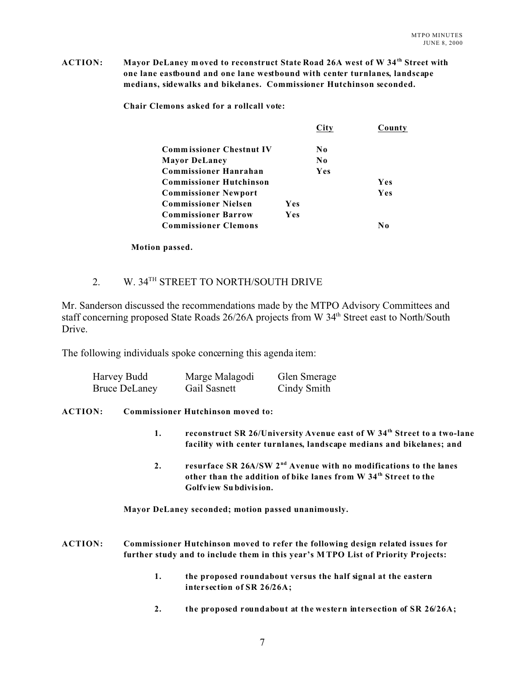**ACTION: Mayor DeLaney m oved to reconstruct State Road 26A west of W 34th Street with one lane eastbound and one lane westbound with center turnlanes, landscape medians, sidewalks and bikelanes. Commissioner Hutchinson seconded.**

**Chair Clemons asked for a rollcall vote:**

|                                 |     |     | County     |
|---------------------------------|-----|-----|------------|
| <b>Commissioner Chestnut IV</b> |     | No  |            |
| <b>Mayor DeLaney</b>            |     | No  |            |
| <b>Commissioner Hanrahan</b>    |     | Yes |            |
| <b>Commissioner Hutchinson</b>  |     |     | Yes        |
| <b>Commissioner Newport</b>     |     |     | <b>Yes</b> |
| <b>Commissioner Nielsen</b>     | Yes |     |            |
| <b>Commissioner Barrow</b>      | Yes |     |            |
| <b>Commissioner Clemons</b>     |     |     | No         |

**Motion passed.**

# 2. W. 34<sup>TH</sup> STREET TO NORTH/SOUTH DRIVE

Mr. Sanderson discussed the recommendations made by the MTPO Advisory Committees and staff concerning proposed State Roads 26/26A projects from W 34<sup>th</sup> Street east to North/South Drive.

The following individuals spoke concerning this agenda item:

| Harvey Budd          | Marge Malagodi | <b>Glen Smerage</b> |
|----------------------|----------------|---------------------|
| <b>Bruce DeLaney</b> | Gail Sasnett   | Cindy Smith         |

### **ACTION: Commissioner Hutchinson moved to:**

- **1. reconstruct SR 26/University Avenue east of W 34th Street to a two-lane facility with center turnlanes, landscape medians and bikelanes; and**
- **2. resurface SR 26A/SW 2 nd Avenue with no modifications to the lanes other than the addition of bike lanes from W 34th Street to the Golfv iew Su bdivision.**

**Mayor DeLaney seconded; motion passed unanimously.**

**ACTION: Commissioner Hutchinson moved to refer the following design related issues for further study and to include them in this year's M TPO List of Priority Projects:**

- **1. the proposed roundabout versus the half signal at the eastern intersection of SR 26/26A;**
- **2. the proposed roundabout at the western intersection of SR 26/26A;**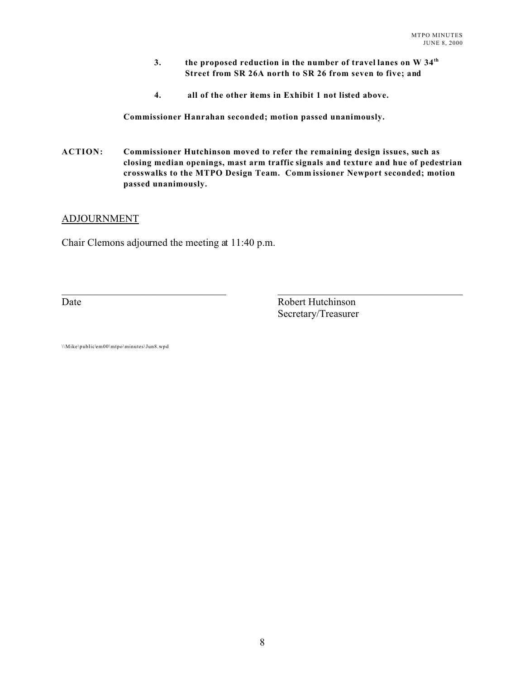- **3. the proposed reduction in the number of travel lanes on W 34th Street from SR 26A north to SR 26 from seven to five; and**
- **4. all of the other items in Exhibit 1 not listed above.**

**Commissioner Hanrahan seconded; motion passed unanimously.**

**ACTION: Commissioner Hutchinson moved to refer the remaining design issues, such as closing median openings, mast arm traffic signals and texture and hue of pedestrian crosswalks to the MTPO Design Team. Comm issioner Newport seconded; motion passed unanimously.**

 $\_$  , and the set of the set of the set of the set of the set of the set of the set of the set of the set of the set of the set of the set of the set of the set of the set of the set of the set of the set of the set of th

### ADJOURNMENT

Chair Clemons adjourned the meeting at 11:40 p.m.

Date Robert Hutchinson Secretary/Treasurer

\\Mike\public\em00\mtpo\minutes\Jun8.wpd